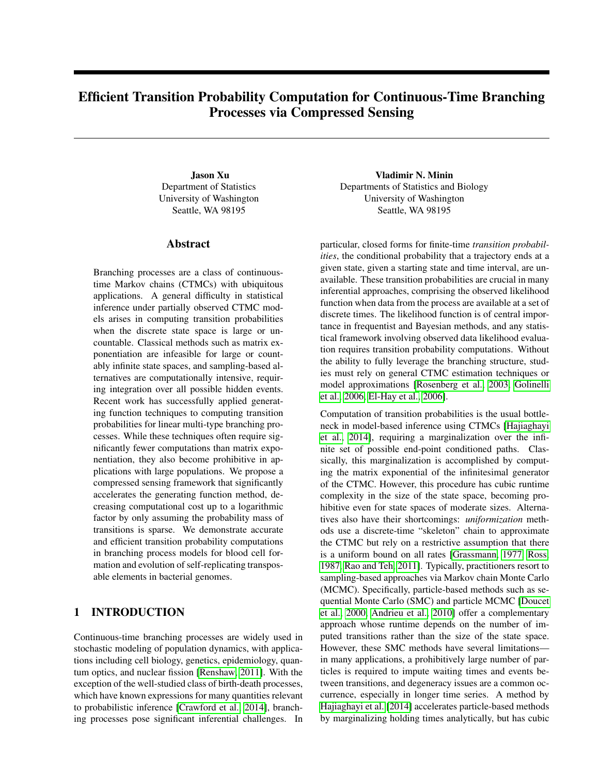# Efficient Transition Probability Computation for Continuous-Time Branching Processes via Compressed Sensing

Jason Xu Department of Statistics University of Washington Seattle, WA 98195

### Abstract

Branching processes are a class of continuoustime Markov chains (CTMCs) with ubiquitous applications. A general difficulty in statistical inference under partially observed CTMC models arises in computing transition probabilities when the discrete state space is large or uncountable. Classical methods such as matrix exponentiation are infeasible for large or countably infinite state spaces, and sampling-based alternatives are computationally intensive, requiring integration over all possible hidden events. Recent work has successfully applied generating function techniques to computing transition probabilities for linear multi-type branching processes. While these techniques often require significantly fewer computations than matrix exponentiation, they also become prohibitive in applications with large populations. We propose a compressed sensing framework that significantly accelerates the generating function method, decreasing computational cost up to a logarithmic factor by only assuming the probability mass of transitions is sparse. We demonstrate accurate and efficient transition probability computations in branching process models for blood cell formation and evolution of self-replicating transposable elements in bacterial genomes.

# 1 INTRODUCTION

Continuous-time branching processes are widely used in stochastic modeling of population dynamics, with applications including cell biology, genetics, epidemiology, quantum optics, and nuclear fission [\[Renshaw, 2011\]](#page-9-0). With the exception of the well-studied class of birth-death processes, which have known expressions for many quantities relevant to probabilistic inference [\[Crawford et al., 2014\]](#page-8-0), branching processes pose significant inferential challenges. In

Vladimir N. Minin Departments of Statistics and Biology University of Washington Seattle, WA 98195

particular, closed forms for finite-time *transition probabilities*, the conditional probability that a trajectory ends at a given state, given a starting state and time interval, are unavailable. These transition probabilities are crucial in many inferential approaches, comprising the observed likelihood function when data from the process are available at a set of discrete times. The likelihood function is of central importance in frequentist and Bayesian methods, and any statistical framework involving observed data likelihood evaluation requires transition probability computations. Without the ability to fully leverage the branching structure, studies must rely on general CTMC estimation techniques or model approximations [\[Rosenberg et al., 2003,](#page-9-1) [Golinelli](#page-8-1) [et al., 2006,](#page-8-1) [El-Hay et al., 2006\]](#page-8-2).

Computation of transition probabilities is the usual bottleneck in model-based inference using CTMCs [\[Hajiaghayi](#page-9-2) [et al., 2014\]](#page-9-2), requiring a marginalization over the infinite set of possible end-point conditioned paths. Classically, this marginalization is accomplished by computing the matrix exponential of the infinitesimal generator of the CTMC. However, this procedure has cubic runtime complexity in the size of the state space, becoming prohibitive even for state spaces of moderate sizes. Alternatives also have their shortcomings: *uniformization* methods use a discrete-time "skeleton" chain to approximate the CTMC but rely on a restrictive assumption that there is a uniform bound on all rates [\[Grassmann, 1977,](#page-9-3) [Ross,](#page-9-4) [1987,](#page-9-4) [Rao and Teh, 2011\]](#page-9-5). Typically, practitioners resort to sampling-based approaches via Markov chain Monte Carlo (MCMC). Specifically, particle-based methods such as sequential Monte Carlo (SMC) and particle MCMC [\[Doucet](#page-8-3) [et al., 2000,](#page-8-3) [Andrieu et al., 2010\]](#page-8-4) offer a complementary approach whose runtime depends on the number of imputed transitions rather than the size of the state space. However, these SMC methods have several limitations in many applications, a prohibitively large number of particles is required to impute waiting times and events between transitions, and degeneracy issues are a common occurrence, especially in longer time series. A method by [Hajiaghayi et al.](#page-9-2) [\[2014\]](#page-9-2) accelerates particle-based methods by marginalizing holding times analytically, but has cubic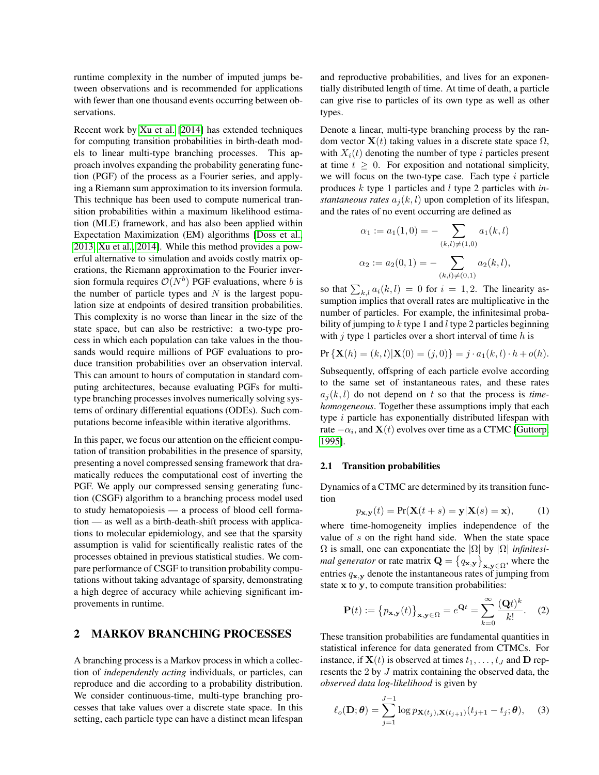runtime complexity in the number of imputed jumps between observations and is recommended for applications with fewer than one thousand events occurring between observations.

Recent work by [Xu et al.](#page-9-6) [\[2014\]](#page-9-6) has extended techniques for computing transition probabilities in birth-death models to linear multi-type branching processes. This approach involves expanding the probability generating function (PGF) of the process as a Fourier series, and applying a Riemann sum approximation to its inversion formula. This technique has been used to compute numerical transition probabilities within a maximum likelihood estimation (MLE) framework, and has also been applied within Expectation Maximization (EM) algorithms [\[Doss et al.,](#page-8-5) [2013,](#page-8-5) [Xu et al., 2014\]](#page-9-6). While this method provides a powerful alternative to simulation and avoids costly matrix operations, the Riemann approximation to the Fourier inversion formula requires  $\mathcal{O}(N^b)$  PGF evaluations, where b is the number of particle types and  $N$  is the largest population size at endpoints of desired transition probabilities. This complexity is no worse than linear in the size of the state space, but can also be restrictive: a two-type process in which each population can take values in the thousands would require millions of PGF evaluations to produce transition probabilities over an observation interval. This can amount to hours of computation in standard computing architectures, because evaluating PGFs for multitype branching processes involves numerically solving systems of ordinary differential equations (ODEs). Such computations become infeasible within iterative algorithms.

In this paper, we focus our attention on the efficient computation of transition probabilities in the presence of sparsity, presenting a novel compressed sensing framework that dramatically reduces the computational cost of inverting the PGF. We apply our compressed sensing generating function (CSGF) algorithm to a branching process model used to study hematopoiesis — a process of blood cell formation — as well as a birth-death-shift process with applications to molecular epidemiology, and see that the sparsity assumption is valid for scientifically realistic rates of the processes obtained in previous statistical studies. We compare performance of CSGF to transition probability computations without taking advantage of sparsity, demonstrating a high degree of accuracy while achieving significant improvements in runtime.

# 2 MARKOV BRANCHING PROCESSES

A branching process is a Markov process in which a collection of *independently acting* individuals, or particles, can reproduce and die according to a probability distribution. We consider continuous-time, multi-type branching processes that take values over a discrete state space. In this setting, each particle type can have a distinct mean lifespan and reproductive probabilities, and lives for an exponentially distributed length of time. At time of death, a particle can give rise to particles of its own type as well as other types.

Denote a linear, multi-type branching process by the random vector  $X(t)$  taking values in a discrete state space  $\Omega$ , with  $X_i(t)$  denoting the number of type i particles present at time  $t > 0$ . For exposition and notational simplicity, we will focus on the two-type case. Each type  $i$  particle produces k type 1 particles and l type 2 particles with *instantaneous rates*  $a_j(k, l)$  upon completion of its lifespan, and the rates of no event occurring are defined as

$$
\alpha_1 := a_1(1,0) = - \sum_{(k,l)\neq(1,0)} a_1(k,l)
$$
  

$$
\alpha_2 := a_2(0,1) = - \sum_{(k,l)\neq(0,1)} a_2(k,l),
$$

so that  $\sum_{k,l} a_i(k, l) = 0$  for  $i = 1, 2$ . The linearity assumption implies that overall rates are multiplicative in the number of particles. For example, the infinitesimal probability of jumping to  $k$  type 1 and  $l$  type 2 particles beginning with  $j$  type 1 particles over a short interval of time  $h$  is

$$
\Pr\{\mathbf{X}(h) = (k, l) | \mathbf{X}(0) = (j, 0)\} = j \cdot a_1(k, l) \cdot h + o(h).
$$

Subsequently, offspring of each particle evolve according to the same set of instantaneous rates, and these rates  $a_i(k, l)$  do not depend on t so that the process is *timehomogeneous*. Together these assumptions imply that each type  $i$  particle has exponentially distributed lifespan with rate  $-\alpha_i$ , and  ${\bf X}(t)$  evolves over time as a CTMC [\[Guttorp,](#page-9-7) [1995\]](#page-9-7).

#### 2.1 Transition probabilities

Dynamics of a CTMC are determined by its transition function

$$
p_{\mathbf{x},\mathbf{y}}(t) = \Pr(\mathbf{X}(t+s) = \mathbf{y}|\mathbf{X}(s) = \mathbf{x}),\tag{1}
$$

where time-homogeneity implies independence of the value of s on the right hand side. When the state space Ω is small, one can exponentiate the |Ω| by |Ω| *infinitesimal generator* or rate matrix  $\mathbf{Q} = \left\{ q_{\mathbf{x},\mathbf{y}} \right\}_{\mathbf{x},\mathbf{y} \in \Omega}$ , where the entries  $q_{\mathbf{x},\mathbf{y}}$  denote the instantaneous rates of jumping from state x to y, to compute transition probabilities:

$$
\mathbf{P}(t) := \left\{ p_{\mathbf{x},\mathbf{y}}(t) \right\}_{\mathbf{x},\mathbf{y} \in \Omega} = e^{\mathbf{Q}t} = \sum_{k=0}^{\infty} \frac{(\mathbf{Q}t)^k}{k!}.
$$
 (2)

These transition probabilities are fundamental quantities in statistical inference for data generated from CTMCs. For instance, if  $X(t)$  is observed at times  $t_1, \ldots, t_J$  and D represents the 2 by J matrix containing the observed data, the *observed data log-likelihood* is given by

<span id="page-1-0"></span>
$$
\ell_o(\mathbf{D}; \boldsymbol{\theta}) = \sum_{j=1}^{J-1} \log p_{\mathbf{X}(t_j), \mathbf{X}(t_{j+1})}(t_{j+1} - t_j; \boldsymbol{\theta}), \quad (3)
$$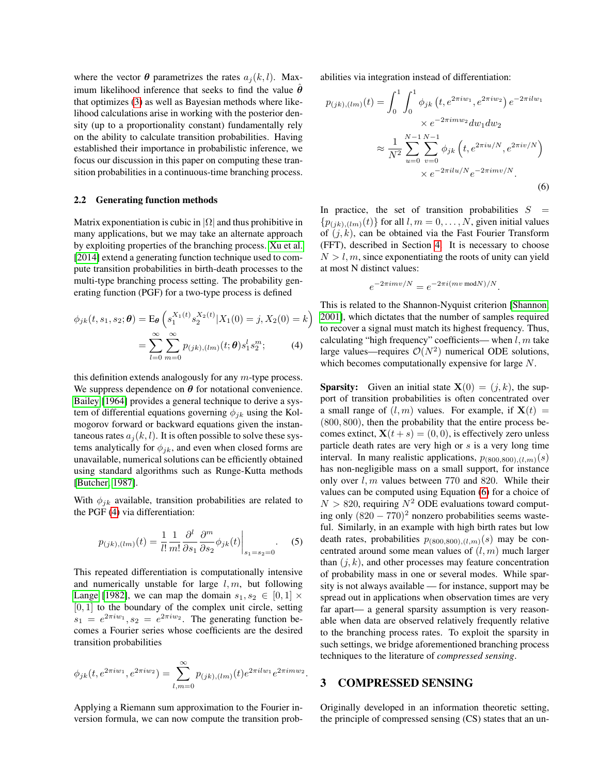where the vector  $\theta$  parametrizes the rates  $a_i(k, l)$ . Maximum likelihood inference that seeks to find the value  $\hat{\theta}$ that optimizes [\(3\)](#page-1-0) as well as Bayesian methods where likelihood calculations arise in working with the posterior density (up to a proportionality constant) fundamentally rely on the ability to calculate transition probabilities. Having established their importance in probabilistic inference, we focus our discussion in this paper on computing these transition probabilities in a continuous-time branching process.

#### 2.2 Generating function methods

Matrix exponentiation is cubic in  $|\Omega|$  and thus prohibitive in many applications, but we may take an alternate approach by exploiting properties of the branching process. [Xu et al.](#page-9-6) [\[2014\]](#page-9-6) extend a generating function technique used to compute transition probabilities in birth-death processes to the multi-type branching process setting. The probability generating function (PGF) for a two-type process is defined

$$
\phi_{jk}(t, s_1, s_2; \boldsymbol{\theta}) = \mathbf{E}_{\boldsymbol{\theta}} \left( s_1^{X_1(t)} s_2^{X_2(t)} | X_1(0) = j, X_2(0) = k \right)
$$

$$
= \sum_{l=0}^{\infty} \sum_{m=0}^{\infty} p_{(jk),(lm)}(t; \boldsymbol{\theta}) s_1^l s_2^m; \tag{4}
$$

this definition extends analogously for any  $m$ -type process. We suppress dependence on  $\theta$  for notational convenience. [Bailey](#page-8-6) [\[1964\]](#page-8-6) provides a general technique to derive a system of differential equations governing  $\phi_{jk}$  using the Kolmogorov forward or backward equations given the instantaneous rates  $a_i(k, l)$ . It is often possible to solve these systems analytically for  $\phi_{ik}$ , and even when closed forms are unavailable, numerical solutions can be efficiently obtained using standard algorithms such as Runge-Kutta methods [\[Butcher, 1987\]](#page-8-7).

With  $\phi_{jk}$  available, transition probabilities are related to the PGF [\(4\)](#page-2-0) via differentiation:

$$
p_{(jk),(lm)}(t) = \frac{1}{l!} \frac{1}{m!} \frac{\partial^l}{\partial s_1} \frac{\partial^m}{\partial s_2} \phi_{jk}(t) \Big|_{s_1 = s_2 = 0}.
$$
 (5)

This repeated differentiation is computationally intensive and numerically unstable for large  $l, m$ , but following [Lange](#page-9-8) [\[1982\]](#page-9-8), we can map the domain  $s_1, s_2 \in [0, 1] \times$ [0, 1] to the boundary of the complex unit circle, setting  $s_1 = e^{2\pi i w_1}, s_2 = e^{2\pi i w_2}$ . The generating function becomes a Fourier series whose coefficients are the desired transition probabilities

$$
\phi_{jk}(t, e^{2\pi i w_1}, e^{2\pi i w_2}) = \sum_{l,m=0}^{\infty} p_{(jk),(lm)}(t) e^{2\pi i l w_1} e^{2\pi i m w_2}.
$$

Applying a Riemann sum approximation to the Fourier inversion formula, we can now compute the transition probabilities via integration instead of differentiation:

<span id="page-2-1"></span>
$$
p_{(jk),(lm)}(t) = \int_0^1 \int_0^1 \phi_{jk} \left( t, e^{2\pi i w_1}, e^{2\pi i w_2} \right) e^{-2\pi i lw_1}
$$
  
 
$$
\times e^{-2\pi i m w_2} dw_1 dw_2
$$
  
 
$$
\approx \frac{1}{N^2} \sum_{u=0}^{N-1} \sum_{v=0}^{N-1} \phi_{jk} \left( t, e^{2\pi i u/N}, e^{2\pi i v/N} \right)
$$
  
 
$$
\times e^{-2\pi i lu/N} e^{-2\pi i m v/N}.
$$
 (6)

In practice, the set of transition probabilities  $S =$  $\{p_{(jk),(lm)}(t)\}\$  for all  $l, m = 0, \ldots, N$ , given initial values of  $(j, k)$ , can be obtained via the Fast Fourier Transform (FFT), described in Section [4.](#page-3-0) It is necessary to choose  $N > l, m$ , since exponentiating the roots of unity can yield at most N distinct values:

$$
e^{-2\pi imv/N} = e^{-2\pi i(mv \bmod N)/N}.
$$

<span id="page-2-0"></span>This is related to the Shannon-Nyquist criterion [\[Shannon,](#page-9-9) [2001\]](#page-9-9), which dictates that the number of samples required to recover a signal must match its highest frequency. Thus, calculating "high frequency" coefficients— when  $l, m$  take large values—requires  $\mathcal{O}(N^2)$  numerical ODE solutions, which becomes computationally expensive for large N.

**Sparsity:** Given an initial state  $X(0) = (j, k)$ , the support of transition probabilities is often concentrated over a small range of  $(l, m)$  values. For example, if  $X(t) =$ (800, 800), then the probability that the entire process becomes extinct,  $\mathbf{X}(t + s) = (0, 0)$ , is effectively zero unless particle death rates are very high or  $s$  is a very long time interval. In many realistic applications,  $p_{(800,800),(l,m)}(s)$ has non-negligible mass on a small support, for instance only over  $l, m$  values between 770 and 820. While their values can be computed using Equation [\(6\)](#page-2-1) for a choice of  $N > 820$ , requiring  $N^2$  ODE evaluations toward computing only  $(820 - 770)^2$  nonzero probabilities seems wasteful. Similarly, in an example with high birth rates but low death rates, probabilities  $p_{(800,800),(l,m)}(s)$  may be concentrated around some mean values of  $(l, m)$  much larger than  $(j, k)$ , and other processes may feature concentration of probability mass in one or several modes. While sparsity is not always available — for instance, support may be spread out in applications when observation times are very far apart— a general sparsity assumption is very reasonable when data are observed relatively frequently relative to the branching process rates. To exploit the sparsity in such settings, we bridge aforementioned branching process techniques to the literature of *compressed sensing*.

# 3 COMPRESSED SENSING

Originally developed in an information theoretic setting, the principle of compressed sensing (CS) states that an un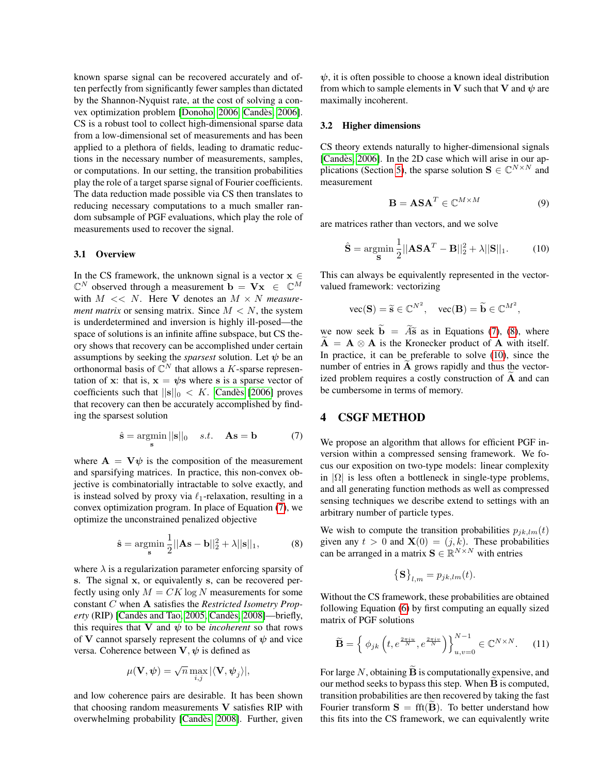known sparse signal can be recovered accurately and often perfectly from significantly fewer samples than dictated by the Shannon-Nyquist rate, at the cost of solving a convex optimization problem [\[Donoho, 2006,](#page-8-8) [Candes, 2006\]](#page-8-9). ` CS is a robust tool to collect high-dimensional sparse data from a low-dimensional set of measurements and has been applied to a plethora of fields, leading to dramatic reductions in the necessary number of measurements, samples, or computations. In our setting, the transition probabilities play the role of a target sparse signal of Fourier coefficients. The data reduction made possible via CS then translates to reducing necessary computations to a much smaller random subsample of PGF evaluations, which play the role of measurements used to recover the signal.

#### <span id="page-3-5"></span>3.1 Overview

In the CS framework, the unknown signal is a vector  $x \in$  $\mathbb{C}^N$  observed through a measurement  $\mathbf{b} = \mathbf{Vx} \in \mathbb{C}^M$ with  $M \ll N$ . Here **V** denotes an  $M \times N$  *measurement matrix* or sensing matrix. Since  $M < N$ , the system is underdetermined and inversion is highly ill-posed—the space of solutions is an infinite affine subspace, but CS theory shows that recovery can be accomplished under certain assumptions by seeking the *sparsest* solution. Let  $\psi$  be an orthonormal basis of  $\mathbb{C}^N$  that allows a *K*-sparse representation of x: that is,  $x = \psi s$  where s is a sparse vector of coefficients such that  $||\mathbf{s}||_0 < K$ . Candès [\[2006\]](#page-8-9) proves that recovery can then be accurately accomplished by finding the sparsest solution

<span id="page-3-1"></span>
$$
\hat{\mathbf{s}} = \underset{\mathbf{s}}{\operatorname{argmin}} \, ||\mathbf{s}||_0 \quad s.t. \quad \mathbf{As} = \mathbf{b} \tag{7}
$$

where  $A = V\psi$  is the composition of the measurement and sparsifying matrices. In practice, this non-convex objective is combinatorially intractable to solve exactly, and is instead solved by proxy via  $\ell_1$ -relaxation, resulting in a convex optimization program. In place of Equation [\(7\)](#page-3-1), we optimize the unconstrained penalized objective

<span id="page-3-2"></span>
$$
\hat{\mathbf{s}} = \underset{\mathbf{s}}{\operatorname{argmin}} \frac{1}{2} ||\mathbf{A}\mathbf{s} - \mathbf{b}||_2^2 + \lambda ||\mathbf{s}||_1,\tag{8}
$$

where  $\lambda$  is a regularization parameter enforcing sparsity of s. The signal x, or equivalently s, can be recovered perfectly using only  $M = CK \log N$  measurements for some constant C when A satisfies the *Restricted Isometry Property* (RIP) [Candès and Tao, 2005, [Cand](#page-8-11)ès, [2008\]](#page-8-11)—briefly, this requires that V and  $\psi$  to be *incoherent* so that rows of V cannot sparsely represent the columns of  $\psi$  and vice versa. Coherence between  $V, \psi$  is defined as

$$
\mu(\mathbf{V}, \boldsymbol{\psi}) = \sqrt{n} \max_{i,j} |\langle \mathbf{V}, \boldsymbol{\psi}_j \rangle|,
$$

and low coherence pairs are desirable. It has been shown that choosing random measurements V satisfies RIP with overwhelming probability [\[Candes, 2008\]](#page-8-11). Further, given `  $\psi$ , it is often possible to choose a known ideal distribution from which to sample elements in V such that V and  $\psi$  are maximally incoherent.

#### 3.2 Higher dimensions

CS theory extends naturally to higher-dimensional signals [Candès, 2006]. In the 2D case which will arise in our ap-plications (Section [5\)](#page-4-0), the sparse solution  $\mathbf{S} \in \mathbb{C}^{N \times N}$  and measurement

<span id="page-3-4"></span>
$$
\mathbf{B} = \mathbf{ASA}^T \in \mathbb{C}^{M \times M} \tag{9}
$$

are matrices rather than vectors, and we solve

<span id="page-3-3"></span>
$$
\hat{\mathbf{S}} = \underset{\mathbf{S}}{\operatorname{argmin}} \frac{1}{2} ||\mathbf{A} \mathbf{S} \mathbf{A}^T - \mathbf{B}||_2^2 + \lambda ||\mathbf{S}||_1. \tag{10}
$$

This can always be equivalently represented in the vectorvalued framework: vectorizing

$$
\text{vec}(\mathbf{S}) = \widetilde{\mathbf{s}} \in \mathbb{C}^{N^2}, \quad \text{vec}(\mathbf{B}) = \widetilde{\mathbf{b}} \in \mathbb{C}^{M^2},
$$

we now seek  $\widetilde{\mathbf{b}} = \widetilde{A}\widetilde{\mathbf{s}}$  as in Equations [\(7\)](#page-3-1), [\(8\)](#page-3-2), where  $\widetilde{A} = A \otimes A$  is the Kronecker product of A with itself. In practice, it can be preferable to solve [\(10\)](#page-3-3), since the number of entries in  $A$  grows rapidly and thus the vectorized problem requires a costly construction of  $\overline{A}$  and can be cumbersome in terms of memory.

### <span id="page-3-0"></span>4 CSGF METHOD

We propose an algorithm that allows for efficient PGF inversion within a compressed sensing framework. We focus our exposition on two-type models: linear complexity in  $|\Omega|$  is less often a bottleneck in single-type problems, and all generating function methods as well as compressed sensing techniques we describe extend to settings with an arbitrary number of particle types.

We wish to compute the transition probabilities  $p_{ik,lm}(t)$ given any  $t > 0$  and  $\mathbf{X}(0) = (j, k)$ . These probabilities can be arranged in a matrix  $\mathbf{S} \in \mathbb{R}^{N \times N}$  with entries

$$
\left\{ \mathbf{S}\right\} _{l,m}=p_{jk,lm}(t).
$$

Without the CS framework, these probabilities are obtained following Equation [\(6\)](#page-2-1) by first computing an equally sized matrix of PGF solutions

<span id="page-3-6"></span>
$$
\widetilde{\mathbf{B}} = \left\{ \phi_{jk} \left( t, e^{\frac{2\pi i v}{N}}, e^{\frac{2\pi i v}{N}} \right) \right\}_{u,v=0}^{N-1} \in \mathbb{C}^{N \times N}.
$$
 (11)

For large N, obtaining  $\widetilde{\mathbf{B}}$  is computationally expensive, and our method seeks to bypass this step. When  $\tilde{B}$  is computed, transition probabilities are then recovered by taking the fast Fourier transform  $S = fft(\tilde{B})$ . To better understand how this fits into the CS framework, we can equivalently write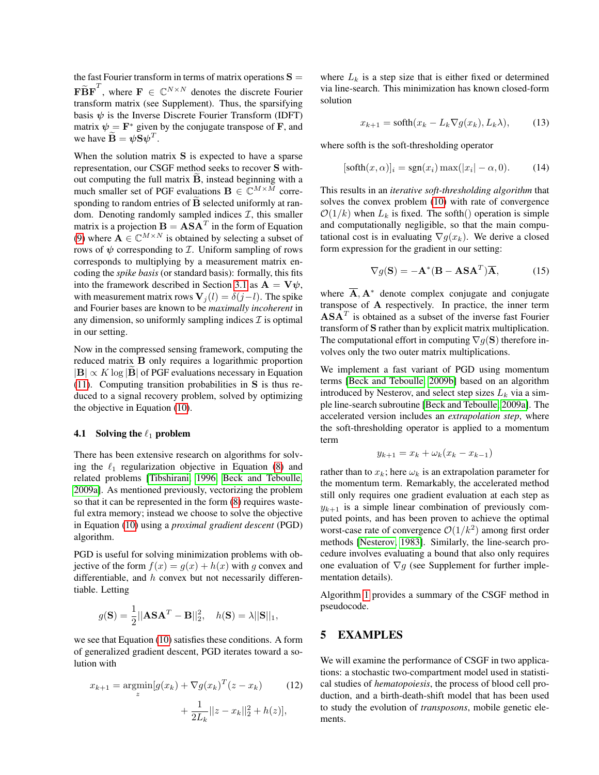the fast Fourier transform in terms of matrix operations  $S =$  $\mathbf{F}\widetilde{\mathbf{B}}\mathbf{F}^T$ , where  $\mathbf{F} \in \mathbb{C}^{N \times N}$  denotes the discrete Fourier transform matrix (see Supplement). Thus, the sparsifying basis  $\psi$  is the Inverse Discrete Fourier Transform (IDFT) matrix  $\psi = \mathbf{F}^*$  given by the conjugate transpose of **F**, and we have  $\widetilde{\mathbf{B}} = \psi \mathbf{S} \psi^T$ .

When the solution matrix S is expected to have a sparse representation, our CSGF method seeks to recover S without computing the full matrix  $\overline{B}$ , instead beginning with a much smaller set of PGF evaluations  $\mathbf{B} \in \mathbb{C}^{M \times \bar{M}}$  corresponding to random entries of  $\overline{B}$  selected uniformly at random. Denoting randomly sampled indices  $\mathcal{I}$ , this smaller matrix is a projection  $\mathbf{B} = \mathbf{ASA}^T$  in the form of Equation [\(9\)](#page-3-4) where  $\mathbf{A} \in \mathbb{C}^{M \times N}$  is obtained by selecting a subset of rows of  $\psi$  corresponding to  $\mathcal I$ . Uniform sampling of rows corresponds to multiplying by a measurement matrix encoding the *spike basis* (or standard basis): formally, this fits into the framework described in Section [3.1](#page-3-5) as  $A = V\psi$ , with measurement matrix rows  $V_i(l) = \delta(j-l)$ . The spike and Fourier bases are known to be *maximally incoherent* in any dimension, so uniformly sampling indices  $\mathcal I$  is optimal in our setting.

Now in the compressed sensing framework, computing the reduced matrix B only requires a logarithmic proportion  $|\mathbf{B}| \propto K \log |\mathbf{B}|$  of PGF evaluations necessary in Equation [\(11\)](#page-3-6). Computing transition probabilities in S is thus reduced to a signal recovery problem, solved by optimizing the objective in Equation [\(10\)](#page-3-3).

#### 4.1 Solving the  $\ell_1$  problem

There has been extensive research on algorithms for solving the  $\ell_1$  regularization objective in Equation [\(8\)](#page-3-2) and related problems [\[Tibshirani, 1996,](#page-9-10) [Beck and Teboulle,](#page-8-12) [2009a\]](#page-8-12). As mentioned previously, vectorizing the problem so that it can be represented in the form [\(8\)](#page-3-2) requires wasteful extra memory; instead we choose to solve the objective in Equation [\(10\)](#page-3-3) using a *proximal gradient descent* (PGD) algorithm.

PGD is useful for solving minimization problems with objective of the form  $f(x) = g(x) + h(x)$  with g convex and differentiable, and  $h$  convex but not necessarily differentiable. Letting

$$
g(\mathbf{S}) = \frac{1}{2} ||\mathbf{ASA}^T - \mathbf{B}||_2^2, \quad h(\mathbf{S}) = \lambda ||\mathbf{S}||_1,
$$

we see that Equation [\(10\)](#page-3-3) satisfies these conditions. A form of generalized gradient descent, PGD iterates toward a solution with

$$
x_{k+1} = \underset{z}{\text{argmin}} [g(x_k) + \nabla g(x_k)^T (z - x_k) \qquad (12)
$$

$$
+ \frac{1}{2L_k} ||z - x_k||_2^2 + h(z)],
$$

where  $L_k$  is a step size that is either fixed or determined via line-search. This minimization has known closed-form solution

$$
x_{k+1} = \text{softh}(x_k - L_k \nabla g(x_k), L_k \lambda), \tag{13}
$$

where softh is the soft-thresholding operator

$$
[softh(x, \alpha)]_i = sgn(x_i) \max(|x_i| - \alpha, 0). \tag{14}
$$

This results in an *iterative soft-thresholding algorithm* that solves the convex problem [\(10\)](#page-3-3) with rate of convergence  $\mathcal{O}(1/k)$  when  $L_k$  is fixed. The softh() operation is simple and computationally negligible, so that the main computational cost is in evaluating  $\nabla g(x_k)$ . We derive a closed form expression for the gradient in our setting:

<span id="page-4-1"></span>
$$
\nabla g(\mathbf{S}) = -\mathbf{A}^*(\mathbf{B} - \mathbf{ASA}^T)\overline{\mathbf{A}},\tag{15}
$$

where  $\overline{A}$ ,  $A^*$  denote complex conjugate and conjugate transpose of A respectively. In practice, the inner term  $\mathbf{ASA}^T$  is obtained as a subset of the inverse fast Fourier transform of S rather than by explicit matrix multiplication. The computational effort in computing  $\nabla q(\mathbf{S})$  therefore involves only the two outer matrix multiplications.

We implement a fast variant of PGD using momentum terms [\[Beck and Teboulle, 2009b\]](#page-8-13) based on an algorithm introduced by Nesterov, and select step sizes  $L_k$  via a simple line-search subroutine [\[Beck and Teboulle, 2009a\]](#page-8-12). The accelerated version includes an *extrapolation step*, where the soft-thresholding operator is applied to a momentum term

$$
y_{k+1} = x_k + \omega_k (x_k - x_{k-1})
$$

rather than to  $x_k$ ; here  $\omega_k$  is an extrapolation parameter for the momentum term. Remarkably, the accelerated method still only requires one gradient evaluation at each step as  $y_{k+1}$  is a simple linear combination of previously computed points, and has been proven to achieve the optimal worst-case rate of convergence  $\mathcal{O}(1/k^2)$  among first order methods [\[Nesterov, 1983\]](#page-9-11). Similarly, the line-search procedure involves evaluating a bound that also only requires one evaluation of  $\nabla g$  (see Supplement for further implementation details).

Algorithm [1](#page-5-0) provides a summary of the CSGF method in pseudocode.

# <span id="page-4-0"></span>5 EXAMPLES

We will examine the performance of CSGF in two applications: a stochastic two-compartment model used in statistical studies of *hematopoiesis*, the process of blood cell production, and a birth-death-shift model that has been used to study the evolution of *transposons*, mobile genetic elements.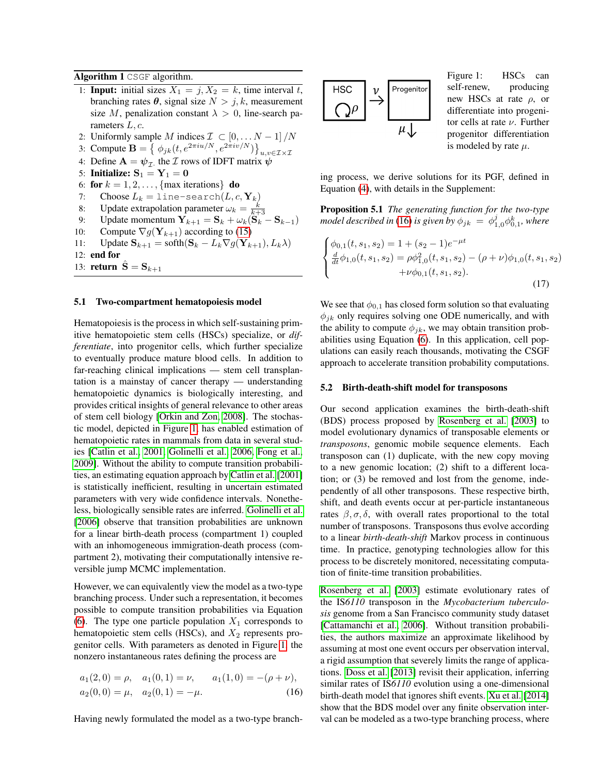Algorithm 1 CSGF algorithm.

- <span id="page-5-0"></span>1: **Input:** initial sizes  $X_1 = j, X_2 = k$ , time interval t, branching rates  $\theta$ , signal size  $N > j, k$ , measurement size M, penalization constant  $\lambda > 0$ , line-search parameters  $L, c$ .
- 2: Uniformly sample M indices  $\mathcal{I} \subset [0, \ldots N-1] / N$
- 3: Compute  $\mathbf{B} = \left\{ \phi_{jk}(t, e^{2\pi i u/N}, e^{2\pi i v/N}) \right\}_{u,v \in \mathcal{I} \times \mathcal{I}}$
- 4: Define  $\mathbf{A} = \psi_{\mathcal{I}}$ , the *I* rows of IDFT matrix  $\psi$
- 5: Initialize:  $S_1 = Y_1 = 0$
- 6: for  $k = 1, 2, \ldots, \{ \text{max iterations} \}$  do
- 7: Choose  $L_k = \text{line-search}(L, c, \mathbf{Y}_k)$
- 8: Update extrapolation parameter  $\omega_k = \frac{k}{k+3}$

9: Update momentum 
$$
\mathbf{Y}_{k+1} = \mathbf{S}_k + \omega_k (\mathbf{S}_k - \mathbf{S}_{k-1})
$$

10: Compute  $\nabla g(\mathbf{Y}_{k+1})$  according to [\(15\)](#page-4-1)

11: Update 
$$
S_{k+1}
$$
 = softh( $S_k - L_k \nabla g(\mathbf{Y}_{k+1}), L_k \lambda$ )

- 12: end for
- 13: **return**  $\hat{\mathbf{S}} = \mathbf{S}_{k+1}$

#### 5.1 Two-compartment hematopoiesis model

Hematopoiesis is the process in which self-sustaining primitive hematopoietic stem cells (HSCs) specialize, or *differentiate*, into progenitor cells, which further specialize to eventually produce mature blood cells. In addition to far-reaching clinical implications — stem cell transplantation is a mainstay of cancer therapy — understanding hematopoietic dynamics is biologically interesting, and provides critical insights of general relevance to other areas of stem cell biology [\[Orkin and Zon, 2008\]](#page-9-12). The stochastic model, depicted in Figure [1,](#page-5-1) has enabled estimation of hematopoietic rates in mammals from data in several studies [\[Catlin et al., 2001,](#page-8-14) [Golinelli et al., 2006,](#page-8-1) [Fong et al.,](#page-8-15) [2009\]](#page-8-15). Without the ability to compute transition probabilities, an estimating equation approach by [Catlin et al.](#page-8-14) [\[2001\]](#page-8-14) is statistically inefficient, resulting in uncertain estimated parameters with very wide confidence intervals. Nonetheless, biologically sensible rates are inferred. [Golinelli et al.](#page-8-1) [\[2006\]](#page-8-1) observe that transition probabilities are unknown for a linear birth-death process (compartment 1) coupled with an inhomogeneous immigration-death process (compartment 2), motivating their computationally intensive reversible jump MCMC implementation.

However, we can equivalently view the model as a two-type branching process. Under such a representation, it becomes possible to compute transition probabilities via Equation [\(6\)](#page-2-1). The type one particle population  $X_1$  corresponds to hematopoietic stem cells (HSCs), and  $X_2$  represents progenitor cells. With parameters as denoted in Figure [1,](#page-5-1) the nonzero instantaneous rates defining the process are

$$
a_1(2,0) = \rho, \quad a_1(0,1) = \nu, \quad a_1(1,0) = -(\rho + \nu),
$$
  
\n $a_2(0,0) = \mu, \quad a_2(0,1) = -\mu.$  (16)

Having newly formulated the model as a two-type branch-



<span id="page-5-1"></span>Figure 1: HSCs can self-renew, producing new HSCs at rate  $\rho$ , or differentiate into progenitor cells at rate ν. Further progenitor differentiation is modeled by rate  $\mu$ .

ing process, we derive solutions for its PGF, defined in Equation [\(4\)](#page-2-0), with details in the Supplement:

Proposition 5.1 *The generating function for the two-type* model described in [\(16\)](#page-5-2) is given by  $\phi_{jk} = \phi_{1,0}^j \phi_{0,1}^k$ , where

<span id="page-5-3"></span>
$$
\begin{cases}\n\phi_{0,1}(t,s_1,s_2) = 1 + (s_2 - 1)e^{-\mu t} \\
\frac{d}{dt}\phi_{1,0}(t,s_1,s_2) = \rho \phi_{1,0}^2(t,s_1,s_2) - (\rho + \nu)\phi_{1,0}(t,s_1,s_2) \\
+ \nu \phi_{0,1}(t,s_1,s_2).\n\end{cases}
$$
\n(17)

We see that  $\phi_{0,1}$  has closed form solution so that evaluating  $\phi_{jk}$  only requires solving one ODE numerically, and with the ability to compute  $\phi_{jk}$ , we may obtain transition probabilities using Equation [\(6\)](#page-2-1). In this application, cell populations can easily reach thousands, motivating the CSGF approach to accelerate transition probability computations.

#### 5.2 Birth-death-shift model for transposons

Our second application examines the birth-death-shift (BDS) process proposed by [Rosenberg et al.](#page-9-1) [\[2003\]](#page-9-1) to model evolutionary dynamics of transposable elements or *transposons*, genomic mobile sequence elements. Each transposon can (1) duplicate, with the new copy moving to a new genomic location; (2) shift to a different location; or (3) be removed and lost from the genome, independently of all other transposons. These respective birth, shift, and death events occur at per-particle instantaneous rates  $\beta$ ,  $\sigma$ ,  $\delta$ , with overall rates proportional to the total number of transposons. Transposons thus evolve according to a linear *birth-death-shift* Markov process in continuous time. In practice, genotyping technologies allow for this process to be discretely monitored, necessitating computation of finite-time transition probabilities.

<span id="page-5-2"></span>[Rosenberg et al.](#page-9-1) [\[2003\]](#page-9-1) estimate evolutionary rates of the IS*6110* transposon in the *Mycobacterium tuberculosis* genome from a San Francisco community study dataset [\[Cattamanchi et al., 2006\]](#page-8-16). Without transition probabilities, the authors maximize an approximate likelihood by assuming at most one event occurs per observation interval, a rigid assumption that severely limits the range of applications. [Doss et al.](#page-8-5) [\[2013\]](#page-8-5) revisit their application, inferring similar rates of IS*6110* evolution using a one-dimensional birth-death model that ignores shift events. [Xu et al.](#page-9-6) [\[2014\]](#page-9-6) show that the BDS model over any finite observation interval can be modeled as a two-type branching process, where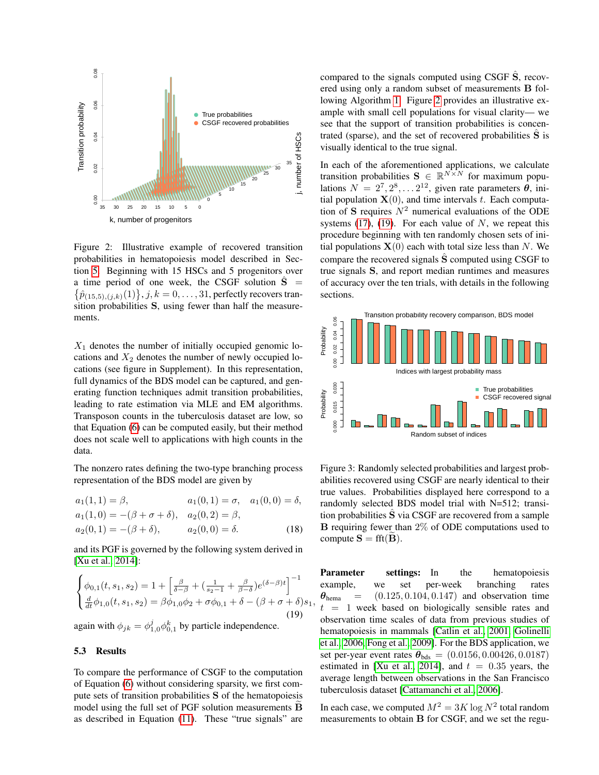

<span id="page-6-0"></span>Figure 2: Illustrative example of recovered transition probabilities in hematopoiesis model described in Section [5.](#page-4-0) Beginning with 15 HSCs and 5 progenitors over a time period of one week, the CSGF solution  $\hat{S}$  =  $\{\hat{p}_{(15,5),(j,k)}(1)\}, j,k = 0, \ldots, 31$ , perfectly recovers transition probabilities S, using fewer than half the measurements.

 $X_1$  denotes the number of initially occupied genomic locations and  $X_2$  denotes the number of newly occupied locations (see figure in Supplement). In this representation, full dynamics of the BDS model can be captured, and generating function techniques admit transition probabilities, leading to rate estimation via MLE and EM algorithms. Transposon counts in the tuberculosis dataset are low, so that Equation [\(6\)](#page-2-1) can be computed easily, but their method does not scale well to applications with high counts in the data.

The nonzero rates defining the two-type branching process representation of the BDS model are given by

$$
a_1(1, 1) = \beta, \qquad a_1(0, 1) = \sigma, \quad a_1(0, 0) = \delta,
$$
  
\n
$$
a_1(1, 0) = -(\beta + \sigma + \delta), \quad a_2(0, 2) = \beta,
$$
  
\n
$$
a_2(0, 1) = -(\beta + \delta), \qquad a_2(0, 0) = \delta.
$$
 (18)

and its PGF is governed by the following system derived in [\[Xu et al., 2014\]](#page-9-6):

<span id="page-6-1"></span>
$$
\begin{cases}\n\phi_{0,1}(t,s_1,s_2) = 1 + \left[\frac{\beta}{\delta - \beta} + \left(\frac{1}{s_2 - 1} + \frac{\beta}{\beta - \delta}\right)e^{(\delta - \beta)t}\right]^{-1} \\
\frac{d}{dt}\phi_{1,0}(t,s_1,s_2) = \beta\phi_{1,0}\phi_2 + \sigma\phi_{0,1} + \delta - (\beta + \sigma + \delta)s_1, \\
(19)\n\end{cases}
$$

again with  $\phi_{jk} = \phi_{1,0}^j \phi_{0,1}^k$  by particle independence.

#### 5.3 Results

To compare the performance of CSGF to the computation of Equation [\(6\)](#page-2-1) without considering sparsity, we first compute sets of transition probabilities S of the hematopoiesis model using the full set of PGF solution measurements  $B$ as described in Equation [\(11\)](#page-3-6). These "true signals" are compared to the signals computed using CSGF  $\hat{S}$ , recovered using only a random subset of measurements B following Algorithm [1.](#page-5-0) Figure [2](#page-6-0) provides an illustrative example with small cell populations for visual clarity— we see that the support of transition probabilities is concentrated (sparse), and the set of recovered probabilities  $\hat{S}$  is visually identical to the true signal.

In each of the aforementioned applications, we calculate transition probabilities  $S \in \mathbb{R}^{N \times N}$  for maximum populations  $N = 2^7, 2^8, \ldots 2^{12}$ , given rate parameters  $\theta$ , initial population  $X(0)$ , and time intervals t. Each computation of S requires  $N^2$  numerical evaluations of the ODE systems [\(17\)](#page-5-3), [\(19\)](#page-6-1). For each value of  $N$ , we repeat this procedure beginning with ten randomly chosen sets of initial populations  $X(0)$  each with total size less than N. We compare the recovered signals  $\hat{S}$  computed using CSGF to true signals S, and report median runtimes and measures of accuracy over the ten trials, with details in the following sections.



<span id="page-6-2"></span>Figure 3: Randomly selected probabilities and largest probabilities recovered using CSGF are nearly identical to their true values. Probabilities displayed here correspond to a randomly selected BDS model trial with N=512; transition probabilities  $\hat{S}$  via CSGF are recovered from a sample B requiring fewer than 2% of ODE computations used to compute  $S = fft(B)$ .

**Parameter** settings: In the hematopoiesis example, we set per-week branching rates  $\theta_{\text{hema}} = (0.125, 0.104, 0.147)$  and observation time  $t = 1$  week based on biologically sensible rates and observation time scales of data from previous studies of hematopoiesis in mammals [\[Catlin et al., 2001,](#page-8-14) [Golinelli](#page-8-1) [et al., 2006,](#page-8-1) [Fong et al., 2009\]](#page-8-15). For the BDS application, we set per-year event rates  $\theta_{\text{bds}} = (0.0156, 0.00426, 0.0187)$ estimated in [\[Xu et al., 2014\]](#page-9-6), and  $t = 0.35$  years, the average length between observations in the San Francisco tuberculosis dataset [\[Cattamanchi et al., 2006\]](#page-8-16).

In each case, we computed  $M^2 = 3K \log N^2$  total random measurements to obtain B for CSGF, and we set the regu-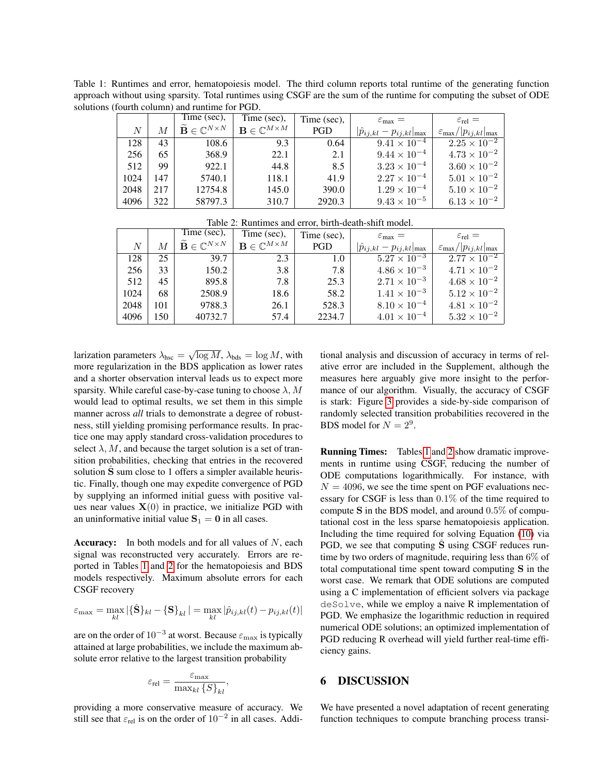<span id="page-7-0"></span>Table 1: Runtimes and error, hematopoiesis model. The third column reports total runtime of the generating function approach without using sparsity. Total runtimes using CSGF are the sum of the runtime for computing the subset of ODE solutions (fourth column) and runtime for PGD.

|                |     | Time (sec),                                          | Time (sec),                              | Time (sec), | $\varepsilon_{\text{max}} =$                 | $\varepsilon_{rel} =$                   |
|----------------|-----|------------------------------------------------------|------------------------------------------|-------------|----------------------------------------------|-----------------------------------------|
| $\overline{N}$ | М   | $\widetilde{\mathbf{B}} \in \mathbb{C}^{N \times N}$ | $\mathbf{B} \in \mathbb{C}^{M \times M}$ | PGD         | $ \hat{p}_{ij,kl} - p_{ij,kl} _{\text{max}}$ | $\varepsilon_{\max}/ p_{ij,kl} _{\max}$ |
| 128            | 43  | 108.6                                                | 9.3                                      | 0.64        | $9.41 \times 10^{-4}$                        | $2.25 \times 10^{-2}$                   |
| 256            | 65  | 368.9                                                | 22.1                                     | 2.1         | $9.44 \times 10^{-4}$                        | $4.73 \times 10^{-2}$                   |
| 512            | 99  | 922.1                                                | 44.8                                     | 8.5         | $3.23 \times 10^{-4}$                        | $3.60 \times 10^{-2}$                   |
| 1024           | 147 | 5740.1                                               | 118.1                                    | 41.9        | $2.27 \times 10^{-4}$                        | $5.01 \times 10^{-2}$                   |
| 2048           | 217 | 12754.8                                              | 145.0                                    | 390.0       | $1.29 \times 10^{-4}$                        | $5.10 \times 10^{-2}$                   |
| 4096           | 322 | 58797.3                                              | 310.7                                    | 2920.3      | $9.43 \times 10^{-5}$                        | $6.13 \times 10^{-2}$                   |

<span id="page-7-1"></span>

|                |     | Time (sec),                                          | Time (sec),                              | Time (sec), | $\varepsilon_{\text{max}} =$               | $\varepsilon_{\rm rel} =$               |  |  |  |  |
|----------------|-----|------------------------------------------------------|------------------------------------------|-------------|--------------------------------------------|-----------------------------------------|--|--|--|--|
| $\overline{N}$ | М   | $\widetilde{\mathbf{B}} \in \mathbb{C}^{N \times N}$ | $\mathbf{B} \in \mathbb{C}^{M \times M}$ | <b>PGD</b>  | $ \hat{p}_{ij,kl}-p_{ij,kl} _{\text{max}}$ | $\varepsilon_{\max}/ p_{ij,kl} _{\max}$ |  |  |  |  |
| 128            | 25  | 39.7                                                 | 2.3                                      | 1.0         | $5.27 \times 10^{-3}$                      | $2.77 \times 10^{-2}$                   |  |  |  |  |
| 256            | 33  | 150.2                                                | 3.8                                      | 7.8         | $4.86 \times 10^{-3}$                      | $4.71 \times 10^{-2}$                   |  |  |  |  |
| 512            | 45  | 895.8                                                | 7.8                                      | 25.3        | $2.71 \times 10^{-3}$                      | $4.68 \times 10^{-2}$                   |  |  |  |  |
| 1024           | 68  | 2508.9                                               | 18.6                                     | 58.2        | $1.41 \times 10^{-3}$                      | $5.12 \times 10^{-2}$                   |  |  |  |  |
| 2048           | 101 | 9788.3                                               | 26.1                                     | 528.3       | $8.10 \times 10^{-4}$                      | $4.81 \times 10^{-2}$                   |  |  |  |  |
| 4096           | 150 | 40732.7                                              | 57.4                                     | 2234.7      | $4.01 \times 10^{-4}$                      | $5.32 \times 10^{-2}$                   |  |  |  |  |

Table 2: Runtimes and error, birth-death-shift model.

larization parameters  $\lambda_{\text{hsc}} = \sqrt{\log M}$ ,  $\lambda_{\text{bds}} = \log M$ , with more regularization in the BDS application as lower rates and a shorter observation interval leads us to expect more sparsity. While careful case-by-case tuning to choose  $\lambda$ , M would lead to optimal results, we set them in this simple manner across *all* trials to demonstrate a degree of robustness, still yielding promising performance results. In practice one may apply standard cross-validation procedures to select  $\lambda$ , M, and because the target solution is a set of transition probabilities, checking that entries in the recovered solution S sum close to 1 offers a simpler available heuristic. Finally, though one may expedite convergence of PGD by supplying an informed initial guess with positive values near values  $X(0)$  in practice, we initialize PGD with an uninformative initial value  $S_1 = 0$  in all cases.

Accuracy: In both models and for all values of  $N$ , each signal was reconstructed very accurately. Errors are reported in Tables [1](#page-7-0) and [2](#page-7-1) for the hematopoiesis and BDS models respectively. Maximum absolute errors for each CSGF recovery

$$
\varepsilon_{\max} = \max_{kl} |\{\hat{\mathbf{S}}\}_{kl} - {\mathbf{S}}_{kl}| = \max_{kl} |\hat{p}_{ij,kl}(t) - p_{ij,kl}(t)|
$$

are on the order of  $10^{-3}$  at worst. Because  $\varepsilon_{\text{max}}$  is typically attained at large probabilities, we include the maximum absolute error relative to the largest transition probability

$$
\varepsilon_{\rm rel} = \frac{\varepsilon_{\max}}{\max_{kl} \left\{ S \right\}_{kl}},
$$

providing a more conservative measure of accuracy. We still see that  $\varepsilon_{rel}$  is on the order of  $10^{-2}$  in all cases. Additional analysis and discussion of accuracy in terms of relative error are included in the Supplement, although the measures here arguably give more insight to the performance of our algorithm. Visually, the accuracy of CSGF is stark: Figure [3](#page-6-2) provides a side-by-side comparison of randomly selected transition probabilities recovered in the BDS model for  $N = 2^9$ .

Running Times: Tables [1](#page-7-0) and [2](#page-7-1) show dramatic improvements in runtime using CSGF, reducing the number of ODE computations logarithmically. For instance, with  $N = 4096$ , we see the time spent on PGF evaluations necessary for CSGF is less than 0.1% of the time required to compute S in the BDS model, and around 0.5% of computational cost in the less sparse hematopoiesis application. Including the time required for solving Equation [\(10\)](#page-3-3) via PGD, we see that computing  $\hat{S}$  using CSGF reduces runtime by two orders of magnitude, requiring less than 6% of total computational time spent toward computing S in the worst case. We remark that ODE solutions are computed using a C implementation of efficient solvers via package deSolve, while we employ a naive R implementation of PGD. We emphasize the logarithmic reduction in required numerical ODE solutions; an optimized implementation of PGD reducing R overhead will yield further real-time efficiency gains.

# 6 DISCUSSION

We have presented a novel adaptation of recent generating function techniques to compute branching process transi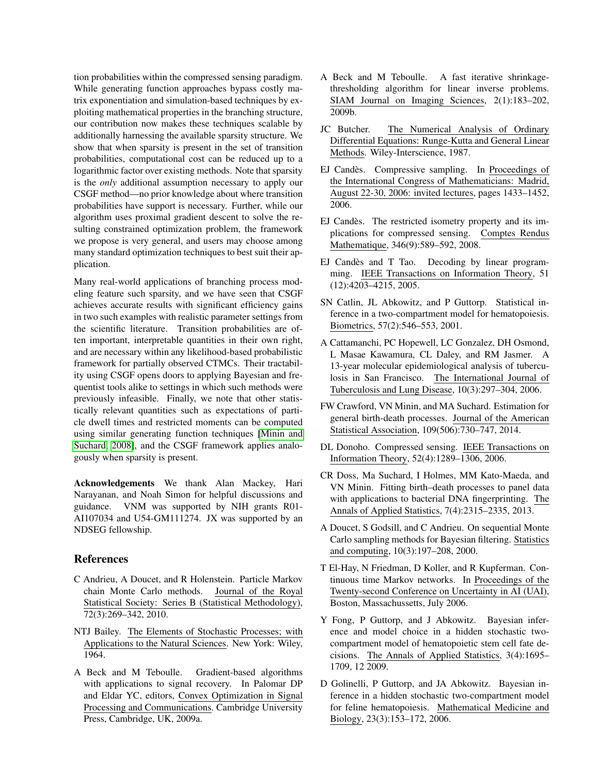tion probabilities within the compressed sensing paradigm. While generating function approaches bypass costly matrix exponentiation and simulation-based techniques by exploiting mathematical properties in the branching structure, our contribution now makes these techniques scalable by additionally harnessing the available sparsity structure. We show that when sparsity is present in the set of transition probabilities, computational cost can be reduced up to a logarithmic factor over existing methods. Note that sparsity is the *only* additional assumption necessary to apply our CSGF method—no prior knowledge about where transition probabilities have support is necessary. Further, while our algorithm uses proximal gradient descent to solve the resulting constrained optimization problem, the framework we propose is very general, and users may choose among many standard optimization techniques to best suit their application.

Many real-world applications of branching process modeling feature such sparsity, and we have seen that CSGF achieves accurate results with significant efficiency gains in two such examples with realistic parameter settings from the scientific literature. Transition probabilities are often important, interpretable quantities in their own right, and are necessary within any likelihood-based probabilistic framework for partially observed CTMCs. Their tractability using CSGF opens doors to applying Bayesian and frequentist tools alike to settings in which such methods were previously infeasible. Finally, we note that other statistically relevant quantities such as expectations of particle dwell times and restricted moments can be computed using similar generating function techniques [\[Minin and](#page-9-13) [Suchard, 2008\]](#page-9-13), and the CSGF framework applies analogously when sparsity is present.

Acknowledgements We thank Alan Mackey, Hari Narayanan, and Noah Simon for helpful discussions and guidance. VNM was supported by NIH grants R01- AI107034 and U54-GM111274. JX was supported by an NDSEG fellowship.

# References

- <span id="page-8-4"></span>C Andrieu, A Doucet, and R Holenstein. Particle Markov chain Monte Carlo methods. Journal of the Royal Statistical Society: Series B (Statistical Methodology), 72(3):269–342, 2010.
- <span id="page-8-6"></span>NTJ Bailey. The Elements of Stochastic Processes; with Applications to the Natural Sciences. New York: Wiley, 1964.
- <span id="page-8-12"></span>A Beck and M Teboulle. Gradient-based algorithms with applications to signal recovery. In Palomar DP and Eldar YC, editors, Convex Optimization in Signal Processing and Communications. Cambridge University Press, Cambridge, UK, 2009a.
- <span id="page-8-13"></span>A Beck and M Teboulle. A fast iterative shrinkagethresholding algorithm for linear inverse problems. SIAM Journal on Imaging Sciences, 2(1):183–202, 2009b.
- <span id="page-8-7"></span>JC Butcher. The Numerical Analysis of Ordinary Differential Equations: Runge-Kutta and General Linear Methods. Wiley-Interscience, 1987.
- <span id="page-8-9"></span>EJ Candès. Compressive sampling. In Proceedings of the International Congress of Mathematicians: Madrid, August 22-30, 2006: invited lectures, pages 1433–1452, 2006.
- <span id="page-8-11"></span>EJ Candès. The restricted isometry property and its implications for compressed sensing. Comptes Rendus Mathematique, 346(9):589–592, 2008.
- <span id="page-8-10"></span>EJ Candès and T Tao. Decoding by linear programming. IEEE Transactions on Information Theory, 51 (12):4203–4215, 2005.
- <span id="page-8-14"></span>SN Catlin, JL Abkowitz, and P Guttorp. Statistical inference in a two-compartment model for hematopoiesis. Biometrics, 57(2):546–553, 2001.
- <span id="page-8-16"></span>A Cattamanchi, PC Hopewell, LC Gonzalez, DH Osmond, L Masae Kawamura, CL Daley, and RM Jasmer. A 13-year molecular epidemiological analysis of tuberculosis in San Francisco. The International Journal of Tuberculosis and Lung Disease, 10(3):297–304, 2006.
- <span id="page-8-0"></span>FW Crawford, VN Minin, and MA Suchard. Estimation for general birth-death processes. Journal of the American Statistical Association, 109(506):730–747, 2014.
- <span id="page-8-8"></span>DL Donoho. Compressed sensing. IEEE Transactions on Information Theory, 52(4):1289–1306, 2006.
- <span id="page-8-5"></span>CR Doss, Ma Suchard, I Holmes, MM Kato-Maeda, and VN Minin. Fitting birth–death processes to panel data with applications to bacterial DNA fingerprinting. The Annals of Applied Statistics, 7(4):2315–2335, 2013.
- <span id="page-8-3"></span>A Doucet, S Godsill, and C Andrieu. On sequential Monte Carlo sampling methods for Bayesian filtering. Statistics and computing, 10(3):197–208, 2000.
- <span id="page-8-2"></span>T El-Hay, N Friedman, D Koller, and R Kupferman. Continuous time Markov networks. In Proceedings of the Twenty-second Conference on Uncertainty in AI (UAI), Boston, Massachussetts, July 2006.
- <span id="page-8-15"></span>Y Fong, P Guttorp, and J Abkowitz. Bayesian inference and model choice in a hidden stochastic twocompartment model of hematopoietic stem cell fate decisions. The Annals of Applied Statistics, 3(4):1695– 1709, 12 2009.
- <span id="page-8-1"></span>D Golinelli, P Guttorp, and JA Abkowitz. Bayesian inference in a hidden stochastic two-compartment model for feline hematopoiesis. Mathematical Medicine and Biology, 23(3):153–172, 2006.